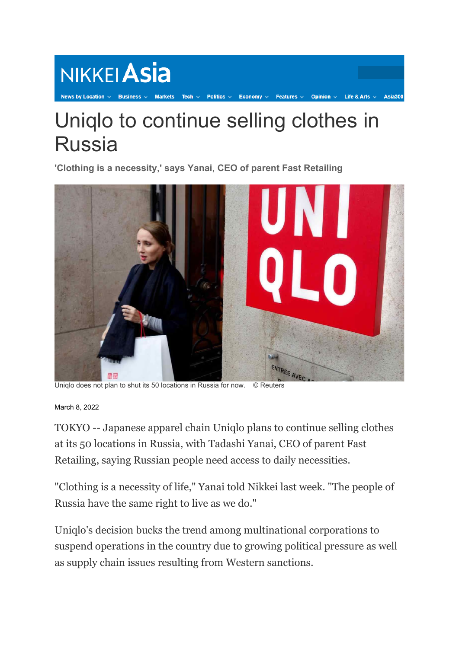## Tech  $\sim$ Politics  $\vee$ Economy Uniqlo to continue selling clothes in Russia

**'Clothing is a necessity,' says Yanai, CEO of parent Fast Retailing**

NIKKEI Asia



Uniqlo does not plan to shut its 50 locations in Russia for now. © Reuters

March 8, 2022

TOKYO -- Japanese apparel chain Uniqlo plans to continue selling clothes at its 50 locations in Russia, with Tadashi Yanai, CEO of parent Fast Retailing, saying Russian people need access to daily necessities.

"Clothing is a necessity of life," Yanai told Nikkei last week. "The people of Russia have the same right to live as we do."

Uniqlo's decision bucks the trend among multinational corporations to suspend operations in the country due to growing political pressure as well as supply chain issues resulting from Western sanctions.